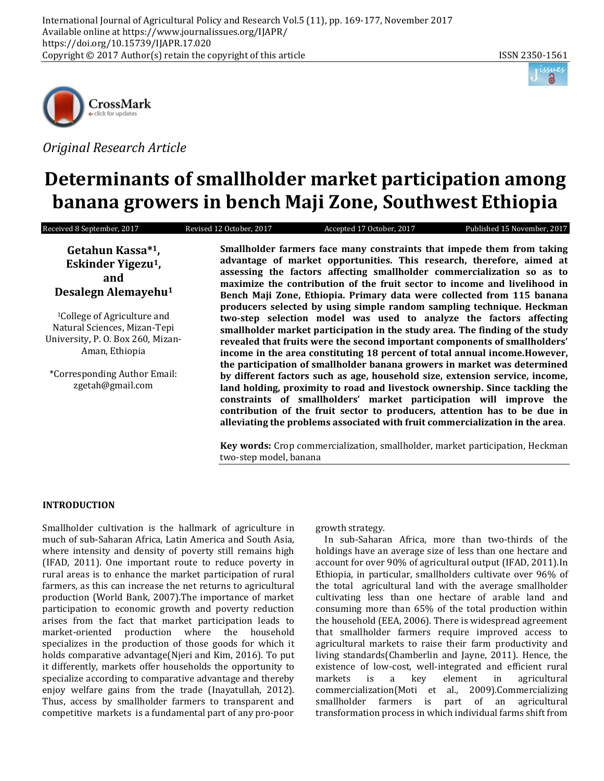





# *Original Research Article*

# **Determinants of smallholder market participation among banana growers in bench Maji Zone, Southwest Ethiopia**

| Received 8 September, 2017                                                                                                     | Revised 12 October, 2017 | Accepted 17 October, 2017                                                                                                                                                                                                                                                                                                                                                                                                                                                   | Published 15 November, 2017 |
|--------------------------------------------------------------------------------------------------------------------------------|--------------------------|-----------------------------------------------------------------------------------------------------------------------------------------------------------------------------------------------------------------------------------------------------------------------------------------------------------------------------------------------------------------------------------------------------------------------------------------------------------------------------|-----------------------------|
| Getahun Kassa*1,<br>Eskinder Yigezu <sup>1</sup> ,<br>and<br>Desalegn Alemayehu <sup>1</sup>                                   |                          | Smallholder farmers face many constraints that impede them from taking<br>advantage of market opportunities. This research, therefore, aimed at<br>assessing the factors affecting smallholder commercialization so as to<br>maximize the contribution of the fruit sector to income and livelihood in<br>Bench Maji Zone, Ethiopia. Primary data were collected from 115 banana                                                                                            |                             |
| <sup>1</sup> College of Agriculture and<br>Natural Sciences, Mizan-Tepi<br>University, P. O. Box 260, Mizan-<br>Aman, Ethiopia |                          | producers selected by using simple random sampling technique. Heckman<br>two-step selection model was used to analyze the factors affecting<br>smallholder market participation in the study area. The finding of the study<br>revealed that fruits were the second important components of smallholders'<br>income in the area constituting 18 percent of total annual income. However,                                                                                    |                             |
| *Corresponding Author Email:<br>zgetah@gmail.com                                                                               |                          | the participation of smallholder banana growers in market was determined<br>by different factors such as age, household size, extension service, income,<br>land holding, proximity to road and livestock ownership. Since tackling the<br>constraints of smallholders' market participation will improve the<br>contribution of the fruit sector to producers, attention has to be due in<br>alleviating the problems associated with fruit commercialization in the area. |                             |

**Key words:** Crop commercialization, smallholder, market participation, Heckman two-step model, banana

# **INTRODUCTION**

Smallholder cultivation is the hallmark of agriculture in much of sub-Saharan Africa, Latin America and South Asia, where intensity and density of poverty still remains high (IFAD, 2011). One important route to reduce poverty in rural areas is to enhance the market participation of rural farmers, as this can increase the net returns to agricultural production (World Bank, 2007).The importance of market participation to economic growth and poverty reduction arises from the fact that market participation leads to market-oriented production where the household specializes in the production of those goods for which it holds comparative advantage(Njeri and Kim, 2016). To put it differently, markets offer households the opportunity to specialize according to comparative advantage and thereby enjoy welfare gains from the trade (Inayatullah, 2012). Thus, access by smallholder farmers to transparent and competitive markets is a fundamental part of any pro-poor

growth strategy.

In sub-Saharan Africa, more than two-thirds of the holdings have an average size of less than one hectare and account for over 90% of agricultural output (IFAD, 2011).In Ethiopia, in particular, smallholders cultivate over 96% of the total agricultural land with the average smallholder cultivating less than one hectare of arable land and consuming more than 65% of the total production within the household (EEA, 2006). There is widespread agreement that smallholder farmers require improved access to agricultural markets to raise their farm productivity and living standards(Chamberlin and Jayne, 2011). Hence, the existence of low-cost, well-integrated and efficient rural markets is a key element in agricultural commercialization(Moti et al*.,* 2009).Commercializing smallholder farmers is part of an agricultural transformation process in which individual farms shift from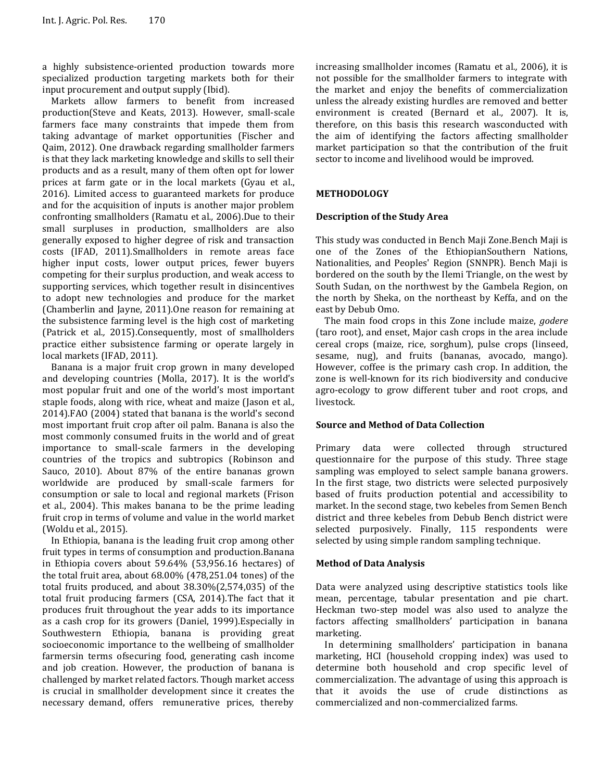a highly subsistence-oriented production towards more specialized production targeting markets both for their input procurement and output supply (Ibid).

Markets allow farmers to benefit from increased production(Steve and Keats, 2013). However, small-scale farmers face many constraints that impede them from taking advantage of market opportunities (Fischer and Qaim, 2012). One drawback regarding smallholder farmers is that they lack marketing knowledge and skills to sell their products and as a result, many of them often opt for lower prices at farm gate or in the local markets (Gyau et al., 2016). Limited access to guaranteed markets for produce and for the acquisition of inputs is another major problem confronting smallholders (Ramatu et al*.,* 2006).Due to their small surpluses in production, smallholders are also generally exposed to higher degree of risk and transaction costs (IFAD, 2011).Smallholders in remote areas face higher input costs, lower output prices, fewer buyers competing for their surplus production, and weak access to supporting services, which together result in disincentives to adopt new technologies and produce for the market (Chamberlin and Jayne, 2011).One reason for remaining at the subsistence farming level is the high cost of marketing (Patrick et al*.,* 2015).Consequently, most of smallholders practice either subsistence farming or operate largely in local markets (IFAD, 2011).

Banana is a major fruit crop grown in many developed and developing countries (Molla, 2017). It is the world's most popular fruit and one of the world's most important staple foods, along with rice, wheat and maize (Jason et al*.,* 2014).FAO (2004) stated that banana is the world's second most important fruit crop after oil palm. Banana is also the most commonly consumed fruits in the world and of great importance to small-scale farmers in the developing countries of the tropics and subtropics (Robinson and Sauco, 2010). About 87% of the entire bananas grown worldwide are produced by small-scale farmers for consumption or sale to local and regional markets (Frison et al., 2004). This makes banana to be the prime leading fruit crop in terms of volume and value in the world market (Woldu et al*.,* 2015).

In Ethiopia, banana is the leading fruit crop among other fruit types in terms of consumption and production.Banana in Ethiopia covers about 59.64% (53,956.16 hectares) of the total fruit area, about 68.00% (478,251.04 tones) of the total fruits produced, and about 38.30%(2,574,035) of the total fruit producing farmers (CSA, 2014).The fact that it produces fruit throughout the year adds to its importance as a cash crop for its growers (Daniel, 1999).Especially in Southwestern Ethiopia, banana is providing great socioeconomic importance to the wellbeing of smallholder farmersin terms ofsecuring food, generating cash income and job creation. However, the production of banana is challenged by market related factors. Though market access is crucial in smallholder development since it creates the necessary demand, offers remunerative prices, thereby increasing smallholder incomes (Ramatu et al*.,* 2006), it is not possible for the smallholder farmers to integrate with the market and enjoy the benefits of commercialization unless the already existing hurdles are removed and better environment is created (Bernard et al*.,* 2007). It is, therefore, on this basis this research wasconducted with the aim of identifying the factors affecting smallholder market participation so that the contribution of the fruit sector to income and livelihood would be improved.

# **METHODOLOGY**

#### **Description of the Study Area**

This study was conducted in Bench Maji Zone.Bench Maji is one of the Zones of the [EthiopianSouthern Nations,](https://en.wikipedia.org/wiki/Ethiopia)  Nationalities, and Peoples' Region (SNNPR). Bench Maji is bordered on the south by the [Ilemi Triangle,](https://en.wikipedia.org/wiki/Ilemi_Triangle) on the west by [South Sudan,](https://en.wikipedia.org/wiki/South_Sudan) on the northwest by the [Gambela Region,](https://en.wikipedia.org/wiki/Gambela_Region) on the north by [Sheka,](https://en.wikipedia.org/wiki/Sheka_Zone) on the northeast by [Keffa,](https://en.wikipedia.org/wiki/Keffa_Zone) and on the east by [Debub Omo.](https://en.wikipedia.org/wiki/Debub_Omo_Zone)

The main food crops in this Zone include [maize,](https://en.wikipedia.org/wiki/Maize) *godere* [\(taro](https://en.wikipedia.org/wiki/Taro) root), and [enset,](https://en.wikipedia.org/wiki/Enset) Major cash crops in the area include cereal crops (maize, rice, sorghum), pulse crops (linseed, sesame, nug), and fruits (bananas, avocado, mango). However, [coffee](https://en.wikipedia.org/wiki/Coffee_production_in_Ethiopia) is the primary cash crop. In addition, the zone is well-known for its rich biodiversity and conducive agro-ecology to grow different tuber and root crops, and livestock.

#### **Source and Method of Data Collection**

Primary data were collected through structured questionnaire for the purpose of this study. Three stage sampling was employed to select sample banana growers. In the first stage, two districts were selected purposively based of fruits production potential and accessibility to market. In the second stage, two kebeles from Semen Bench district and three kebeles from Debub Bench district were selected purposively. Finally, 115 respondents were selected by using simple random sampling technique.

#### **Method of Data Analysis**

Data were analyzed using descriptive statistics tools like mean, percentage, tabular presentation and pie chart. Heckman two-step model was also used to analyze the factors affecting smallholders' participation in banana marketing.

In determining smallholders' participation in banana marketing, HCI (household cropping index) was used to determine both household and crop specific level of commercialization. The advantage of using this approach is that it avoids the use of crude distinctions as commercialized and non-commercialized farms.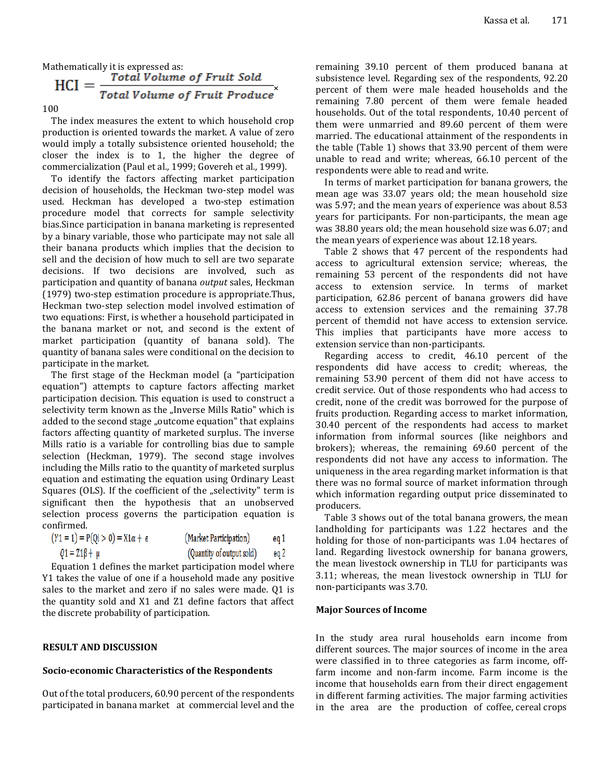# Mathematically it is expressed as:  $HCI = \frac{Total Volume of Fruit Sold}{Total Volume of Fruit Product}$

### 100

The index measures the extent to which household crop production is oriented towards the market. A value of zero would imply a totally subsistence oriented household; the closer the index is to 1, the higher the degree of commercialization (Paul et al*.,* 1999; Govereh et al*.,* 1999).

To identify the factors affecting market participation decision of households, the Heckman two-step model was used. Heckman has developed a two-step estimation procedure model that corrects for sample selectivity bias.Since participation in banana marketing is represented by a binary variable, those who participate may not sale all their banana products which implies that the decision to sell and the decision of how much to sell are two separate decisions. If two decisions are involved, such as participation and quantity of banana *output* sales, Heckman (1979) two-step estimation procedure is appropriate.Thus, Heckman two-step selection model involved estimation of two equations: First, is whether a household participated in the banana market or not, and second is the extent of market participation (quantity of banana sold). The quantity of banana sales were conditional on the decision to participate in the market.

The first stage of the Heckman model (a "participation equation") attempts to capture factors affecting market participation decision. This equation is used to construct a selectivity term known as the "Inverse Mills Ratio" which is added to the second stage "outcome equation" that explains factors affecting quantity of marketed surplus. The inverse Mills ratio is a variable for controlling bias due to sample selection (Heckman, 1979). The second stage involves including the Mills ratio to the quantity of marketed surplus equation and estimating the equation using Ordinary Least Squares (OLS). If the coefficient of the "selectivity" term is significant then the hypothesis that an unobserved selection process governs the participation equation is confirmed.

| $(Y1 = 1) = P(Qi > 0) = X1\alpha + \epsilon$ | (Market Participation)    | eq 1 |
|----------------------------------------------|---------------------------|------|
| $Q1 = Z1\beta + \mu$                         | (Quantity of output sold) | eq 2 |

Equation 1 defines the market participation model where Y1 takes the value of one if a household made any positive sales to the market and zero if no sales were made. Q1 is the quantity sold and X1 and Z1 define factors that affect the discrete probability of participation.

#### **RESULT AND DISCUSSION**

#### **Socio-economic Characteristics of the Respondents**

Out of the total producers, 60.90 percent of the respondents participated in banana market at commercial level and the remaining 39.10 percent of them produced banana at subsistence level. Regarding sex of the respondents, 92.20 percent of them were male headed households and the remaining 7.80 percent of them were female headed households. Out of the total respondents, 10.40 percent of them were unmarried and 89.60 percent of them were married. The educational attainment of the respondents in the table (Table 1) shows that 33.90 percent of them were unable to read and write; whereas, 66.10 percent of the respondents were able to read and write.

In terms of market participation for banana growers, the mean age was 33.07 years old; the mean household size was 5.97; and the mean years of experience was about 8.53 years for participants. For non-participants, the mean age was 38.80 years old; the mean household size was 6.07; and the mean years of experience was about 12.18 years.

Table 2 shows that 47 percent of the respondents had access to agricultural extension service; whereas, the remaining 53 percent of the respondents did not have access to extension service. In terms of market participation, 62.86 percent of banana growers did have access to extension services and the remaining 37.78 percent of themdid not have access to extension service. This implies that participants have more access to extension service than non-participants.

Regarding access to credit, 46.10 percent of the respondents did have access to credit; whereas, the remaining 53.90 percent of them did not have access to credit service. Out of those respondents who had access to credit, none of the credit was borrowed for the purpose of fruits production. Regarding access to market information, 30.40 percent of the respondents had access to market information from informal sources (like neighbors and brokers); whereas, the remaining 69.60 percent of the respondents did not have any access to information. The uniqueness in the area regarding market information is that there was no formal source of market information through which information regarding output price disseminated to producers.

Table 3 shows out of the total banana growers, the mean landholding for participants was 1.22 hectares and the holding for those of non-participants was 1.04 hectares of land. Regarding livestock ownership for banana growers, the mean livestock ownership in TLU for participants was 3.11; whereas, the mean livestock ownership in TLU for non-participants was 3.70.

#### **Major Sources of Income**

In the study area rural households earn income from different sources. The major sources of income in the area were classified in to three categories as farm income, offfarm income and non-farm income. Farm income is the income that households earn from their direct engagement in different farming activities. The major farming activities in the area are the production of coffee, cereal crops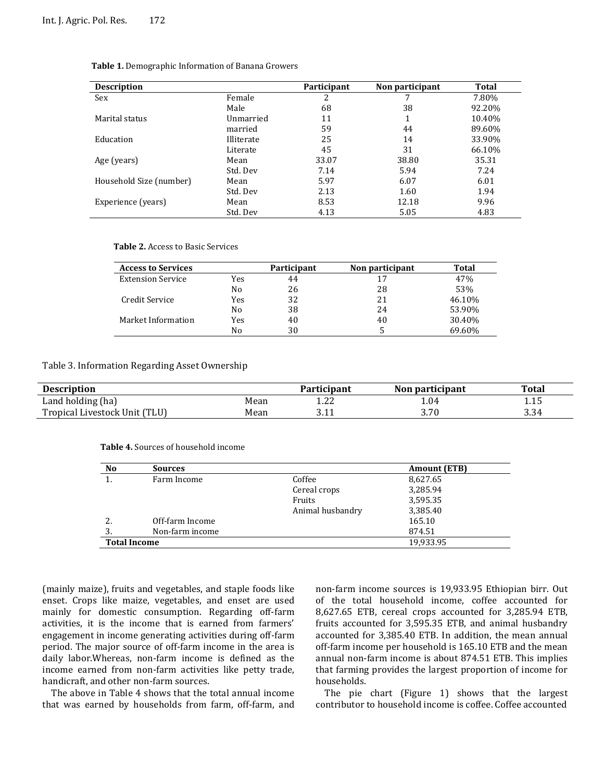| <b>Description</b>      |            | Participant | Non participant | Total  |
|-------------------------|------------|-------------|-----------------|--------|
| Sex                     | Female     |             |                 | 7.80%  |
|                         | Male       | 68          | 38              | 92.20% |
| Marital status          | Unmarried  | 11          |                 | 10.40% |
|                         | married    | 59          | 44              | 89.60% |
| Education               | Illiterate | 25          | 14              | 33.90% |
|                         | Literate   | 45          | 31              | 66.10% |
| Age (years)             | Mean       | 33.07       | 38.80           | 35.31  |
|                         | Std. Dev   | 7.14        | 5.94            | 7.24   |
| Household Size (number) | Mean       | 5.97        | 6.07            | 6.01   |
|                         | Std. Dev   | 2.13        | 1.60            | 1.94   |
| Experience (years)      | Mean       | 8.53        | 12.18           | 9.96   |
|                         | Std. Dev   | 4.13        | 5.05            | 4.83   |

#### **Table 1.** Demographic Information of Banana Growers

#### **Table 2.** Access to Basic Services

| <b>Access to Services</b> |     | Participant | Non participant | Total  |
|---------------------------|-----|-------------|-----------------|--------|
| <b>Extension Service</b>  | Yes | 44          | 17              | 47%    |
|                           | No  | 26          | 28              | 53%    |
| Credit Service            | Yes | 32          | 21              | 46.10% |
|                           | No  | 38          | 24              | 53.90% |
| Market Information        | Yes | 40          | 40              | 30.40% |
|                           | No  | 30          |                 | 69.60% |

#### Table 3. Information Regarding Asset Ownership

| <b>Description</b>            |      | Participant        | Non participant | <b>Total</b> |
|-------------------------------|------|--------------------|-----------------|--------------|
| Land holding (ha)             | Mean | ຳາ<br>1. <i>44</i> | 1.04            | 1.1J         |
| Tropical Livestock Unit (TLU) | Mean | ว 1 1<br>J. L L    | 3.70            | 3.34         |

| <b>Table 4.</b> Sources of household income |
|---------------------------------------------|
|---------------------------------------------|

| N <sub>0</sub>      | <b>Sources</b>  |                  | <b>Amount (ETB)</b> |
|---------------------|-----------------|------------------|---------------------|
|                     | Farm Income     | Coffee           | 8,627.65            |
|                     |                 | Cereal crops     | 3,285.94            |
|                     |                 | Fruits           | 3,595.35            |
|                     |                 | Animal husbandry | 3,385.40            |
|                     | Off-farm Income |                  | 165.10              |
| 3.                  | Non-farm income |                  | 874.51              |
| <b>Total Income</b> |                 |                  | 19,933.95           |

(mainly maize), fruits and vegetables, and staple foods like enset. Crops like maize, vegetables, and enset are used mainly for domestic consumption. Regarding off-farm activities, it is the income that is earned from farmers' engagement in income generating activities during off-farm period. The major source of off-farm income in the area is daily labor.Whereas, non-farm income is defined as the income earned from non-farm activities like petty trade, handicraft, and other non-farm sources.

The above in Table 4 shows that the total annual income that was earned by households from farm, off-farm, and non-farm income sources is 19,933.95 Ethiopian birr. Out of the total household income, coffee accounted for 8,627.65 ETB, cereal crops accounted for 3,285.94 ETB, fruits accounted for 3,595.35 ETB, and animal husbandry accounted for 3,385.40 ETB. In addition, the mean annual off-farm income per household is 165.10 ETB and the mean annual non-farm income is about 874.51 ETB. This implies that farming provides the largest proportion of income for households.

The pie chart (Figure 1) shows that the largest contributor to household income is coffee. Coffee accounted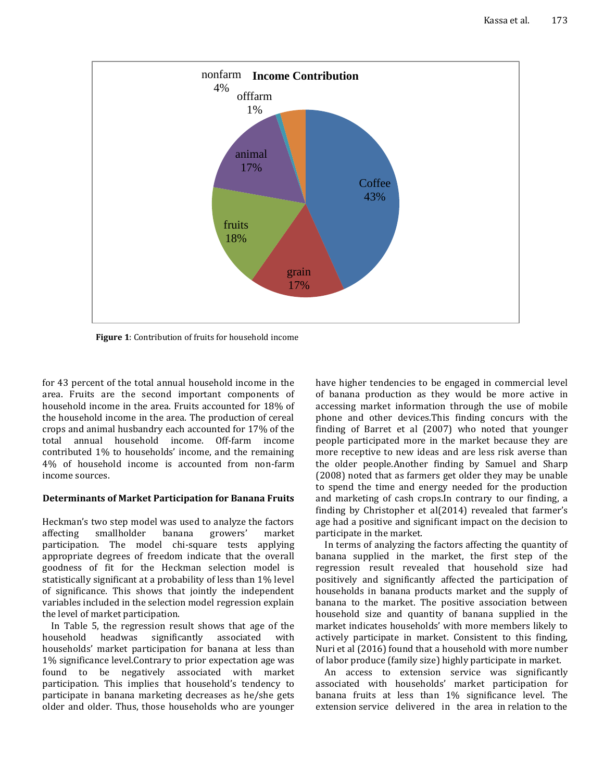

**Figure 1**: Contribution of fruits for household income

for 43 percent of the total annual household income in the area. Fruits are the second important components of household income in the area. Fruits accounted for 18% of the household income in the area. The production of cereal crops and animal husbandry each accounted for 17% of the total annual household income. Off-farm income contributed 1% to households' income, and the remaining 4% of household income is accounted from non-farm income sources.

# **Determinants of Market Participation for Banana Fruits**

Heckman's two step model was used to analyze the factors affecting smallholder banana growers' market participation. The model chi-square tests applying appropriate degrees of freedom indicate that the overall goodness of fit for the Heckman selection model is statistically significant at a probability of less than 1% level of significance. This shows that jointly the independent variables included in the selection model regression explain the level of market participation.

In Table 5, the regression result shows that age of the household headwas significantly associated with households' market participation for banana at less than 1% significance level.Contrary to prior expectation age was found to be negatively associated with market participation. This implies that household's tendency to participate in banana marketing decreases as he/she gets older and older. Thus, those households who are younger have higher tendencies to be engaged in commercial level of banana production as they would be more active in accessing market information through the use of mobile phone and other devices.This finding concurs with the finding of Barret et al (2007) who noted that younger people participated more in the market because they are more receptive to new ideas and are less risk averse than the older people.Another finding by Samuel and Sharp (2008) noted that as farmers get older they may be unable to spend the time and energy needed for the production and marketing of cash crops.In contrary to our finding, a finding by Christopher et al(2014) revealed that farmer's age had a positive and significant impact on the decision to participate in the market.

In terms of analyzing the factors affecting the quantity of banana supplied in the market, the first step of the regression result revealed that household size had positively and significantly affected the participation of households in banana products market and the supply of banana to the market. The positive association between household size and quantity of banana supplied in the market indicates households' with more members likely to actively participate in market. Consistent to this finding, Nuri et al (2016) found that a household with more number of labor produce (family size) highly participate in market.

An access to extension service was significantly associated with households' market participation for banana fruits at less than 1% significance level. The extension service delivered in the area in relation to the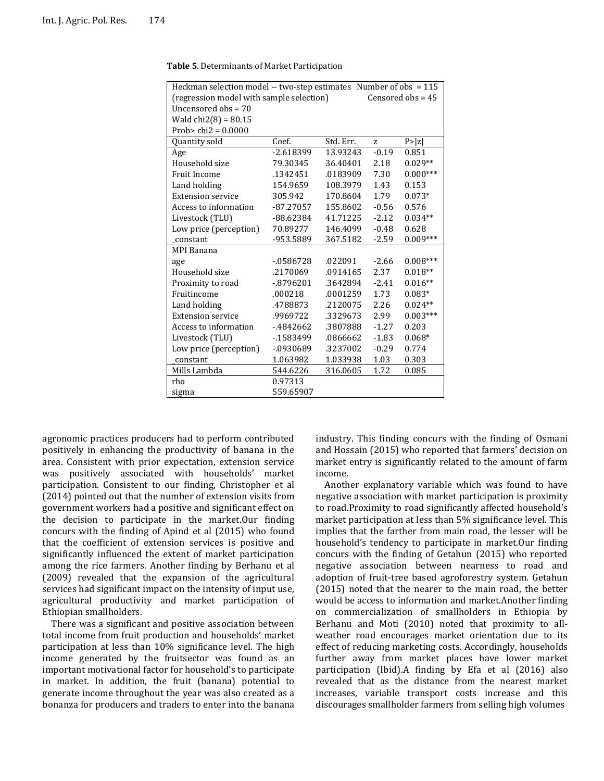| Heckman selection model -- two-step estimates Number of obs = 115 |              |           |         |            |  |  |
|-------------------------------------------------------------------|--------------|-----------|---------|------------|--|--|
| (regression model with sample selection)<br>Censored $obs = 45$   |              |           |         |            |  |  |
| Uncensored $obs = 70$                                             |              |           |         |            |  |  |
| Wald $chi2(8) = 80.15$                                            |              |           |         |            |  |  |
| Prob> $chi2 = 0.0000$                                             |              |           |         |            |  |  |
| Quantity sold                                                     | Coef.        | Std. Err. | Z       | P >  z     |  |  |
| Age                                                               | $-2.618399$  | 13.93243  | $-0.19$ | 0.851      |  |  |
| Household size                                                    | 79.30345     | 36.40401  | 2.18    | $0.029**$  |  |  |
| <b>Fruit Income</b>                                               | .1342451     | .0183909  | 7.30    | $0.000***$ |  |  |
| Land holding                                                      | 154.9659     | 108.3979  | 1.43    | 0.153      |  |  |
| <b>Extension service</b>                                          | 305.942      | 170.8604  | 1.79    | $0.073*$   |  |  |
| Access to information                                             | $-87.27057$  | 155.8602  | $-0.56$ | 0.576      |  |  |
| Livestock (TLU)                                                   | $-88.62384$  | 41.71225  | $-2.12$ | $0.034**$  |  |  |
| Low price (perception)                                            | 70.89277     | 146.4099  | $-0.48$ | 0.628      |  |  |
| constant                                                          | -953.5889    | 367.5182  | $-2.59$ | $0.009***$ |  |  |
| MPI Banana                                                        |              |           |         |            |  |  |
| age                                                               | $-0586728$   | .022091   | $-2.66$ | $0.008***$ |  |  |
| Household size                                                    | .2170069     | .0914165  | 2.37    | $0.018**$  |  |  |
| Proximity to road                                                 | $-0.8796201$ | .3642894  | $-2.41$ | $0.016**$  |  |  |
| Fruitincome                                                       | .000218      | .0001259  | 1.73    | $0.083*$   |  |  |
| Land holding                                                      | .4788873     | .2120075  | 2.26    | $0.024**$  |  |  |
| <b>Extension service</b>                                          | .9969722     | .3329673  | 2.99    | $0.003***$ |  |  |
| Access to information                                             | $-4842662$   | .3807888  | $-1.27$ | 0.203      |  |  |
| Livestock (TLU)                                                   | -.1583499    | .0866662  | $-1.83$ | $0.068*$   |  |  |
| Low price (perception)                                            | -.0930689    | .3237002  | $-0.29$ | 0.774      |  |  |
| constant                                                          | 1.063982     | 1.033938  | 1.03    | 0.303      |  |  |
| Mills Lambda                                                      | 544.6226     | 316.0605  | 1.72    | 0.085      |  |  |
| rho                                                               | 0.97313      |           |         |            |  |  |
| sigma                                                             | 559.65907    |           |         |            |  |  |

**Table 5**. Determinants of Market Participation

agronomic practices producers had to perform contributed positively in enhancing the productivity of banana in the area. Consistent with prior expectation, extension service was positively associated with households' market participation. Consistent to our finding, Christopher et al (2014) pointed out that the number of extension visits from government workers had a positive and significant effect on the decision to participate in the market.Our finding concurs with the finding of Apind et al (2015) who found that the coefficient of extension services is positive and significantly influenced the extent of market participation among the rice farmers. Another finding by Berhanu et al (2009) revealed that the expansion of the agricultural services had significant impact on the intensity of input use, agricultural productivity and market participation of Ethiopian smallholders.

There was a significant and positive association between total income from fruit production and households' market participation at less than 10% significance level. The high income generated by the fruitsector was found as an important motivational factor for household's to participate in market. In addition, the fruit (banana) potential to generate income throughout the year was also created as a bonanza for producers and traders to enter into the banana industry. This finding concurs with the finding of Osmani and Hossain (2015) who reported that farmers' decision on market entry is significantly related to the amount of farm income.

Another explanatory variable which was found to have negative association with market participation is proximity to road.Proximity to road significantly affected household's market participation at less than 5% significance level. This implies that the farther from main road, the lesser will be household's tendency to participate in market.Our finding concurs with the finding of Getahun (2015) who reported negative association between nearness to road and adoption of fruit-tree based agroforestry system. Getahun (2015) noted that the nearer to the main road, the better would be access to information and market.Another finding on commercialization of smallholders in Ethiopia by Berhanu and Moti (2010) noted that proximity to allweather road encourages market orientation due to its effect of reducing marketing costs. Accordingly, households further away from market places have lower market participation (Ibid).A finding by Efa et al (2016) also revealed that as the distance from the nearest market increases, variable transport costs increase and this discourages smallholder farmers from selling high volumes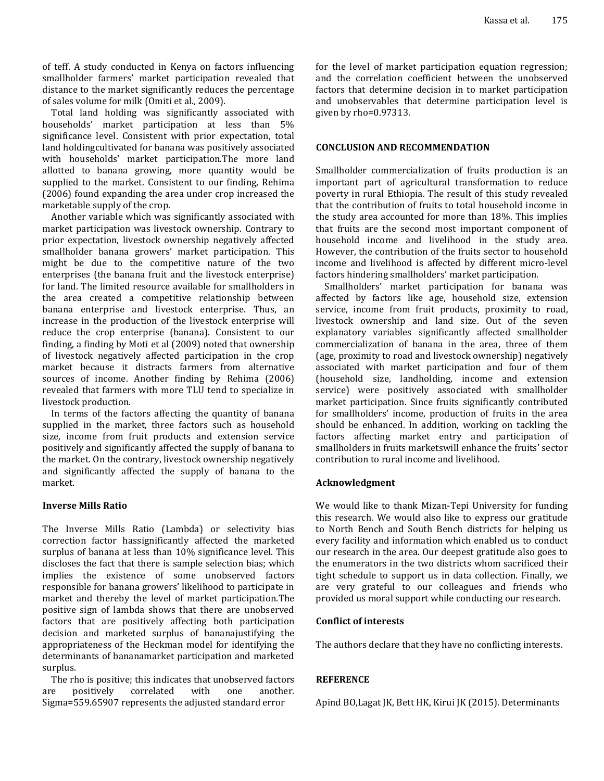of teff. A study conducted in Kenya on factors influencing smallholder farmers' market participation revealed that distance to the market significantly reduces the percentage of sales volume for milk (Omiti et al*.,* 2009).

Total land holding was significantly associated with households' market participation at less than 5% significance level. Consistent with prior expectation, total land holdingcultivated for banana was positively associated with households' market participation.The more land allotted to banana growing, more quantity would be supplied to the market. Consistent to our finding, Rehima (2006) found expanding the area under crop increased the marketable supply of the crop.

Another variable which was significantly associated with market participation was livestock ownership. Contrary to prior expectation, livestock ownership negatively affected smallholder banana growers' market participation. This might be due to the competitive nature of the two enterprises (the banana fruit and the livestock enterprise) for land. The limited resource available for smallholders in the area created a competitive relationship between banana enterprise and livestock enterprise. Thus, an increase in the production of the livestock enterprise will reduce the crop enterprise (banana). Consistent to our finding, a finding by Moti et al (2009) noted that ownership of livestock negatively affected participation in the crop market because it distracts farmers from alternative sources of income. Another finding by Rehima (2006) revealed that farmers with more TLU tend to specialize in livestock production.

In terms of the factors affecting the quantity of banana supplied in the market, three factors such as household size, income from fruit products and extension service positively and significantly affected the supply of banana to the market. On the contrary, livestock ownership negatively and significantly affected the supply of banana to the market.

# **Inverse Mills Ratio**

The Inverse Mills Ratio (Lambda) or selectivity bias correction factor hassignificantly affected the marketed surplus of banana at less than 10% significance level. This discloses the fact that there is sample selection bias; which implies the existence of some unobserved factors responsible for banana growers' likelihood to participate in market and thereby the level of market participation.The positive sign of lambda shows that there are unobserved factors that are positively affecting both participation decision and marketed surplus of bananajustifying the appropriateness of the Heckman model for identifying the determinants of bananamarket participation and marketed surplus.

The rho is positive; this indicates that unobserved factors are positively correlated with one another. Sigma=559.65907 represents the adjusted standard error

for the level of market participation equation regression; and the correlation coefficient between the unobserved factors that determine decision in to market participation and unobservables that determine participation level is given by rho=0.97313.

# **CONCLUSION AND RECOMMENDATION**

Smallholder commercialization of fruits production is an important part of agricultural transformation to reduce poverty in rural Ethiopia. The result of this study revealed that the contribution of fruits to total household income in the study area accounted for more than 18%. This implies that fruits are the second most important component of household income and livelihood in the study area. However, the contribution of the fruits sector to household income and livelihood is affected by different micro-level factors hindering smallholders' market participation.

Smallholders' market participation for banana was affected by factors like age, household size, extension service, income from fruit products, proximity to road, livestock ownership and land size. Out of the seven explanatory variables significantly affected smallholder commercialization of banana in the area, three of them (age, proximity to road and livestock ownership) negatively associated with market participation and four of them (household size, landholding, income and extension service) were positively associated with smallholder market participation. Since fruits significantly contributed for smallholders' income, production of fruits in the area should be enhanced. In addition, working on tackling the factors affecting market entry and participation of smallholders in fruits marketswill enhance the fruits' sector contribution to rural income and livelihood.

# **Acknowledgment**

We would like to thank Mizan-Tepi University for funding this research. We would also like to express our gratitude to North Bench and South Bench districts for helping us every facility and information which enabled us to conduct our research in the area. Our deepest gratitude also goes to the enumerators in the two districts whom sacrificed their tight schedule to support us in data collection. Finally, we are very grateful to our colleagues and friends who provided us moral support while conducting our research.

# **Conflict of interests**

The authors declare that they have no conflicting interests.

# **REFERENCE**

Apind BO,Lagat JK, Bett HK, Kirui JK (2015). Determinants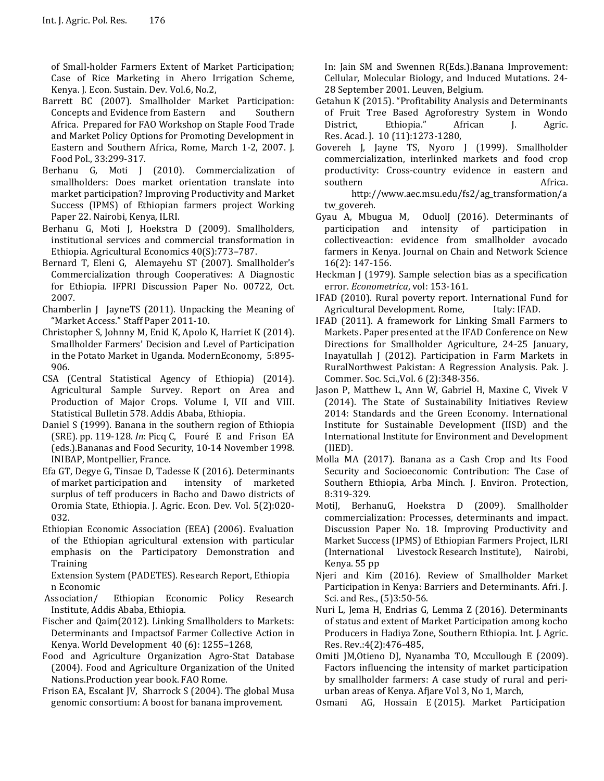of Small-holder Farmers Extent of Market Participation; Case of Rice Marketing in Ahero Irrigation Scheme, Kenya. J. Econ. Sustain. Dev. Vol.6, No.2,

- Barrett BC (2007). Smallholder Market Participation: Concepts and Evidence from Eastern and Southern Africa. Prepared for FAO Workshop on Staple Food Trade and Market Policy Options for Promoting Development in Eastern and Southern Africa, Rome, March 1-2, 2007. J. Food Pol., 33:299-317.
- Berhanu G, Moti J (2010). Commercialization of smallholders: Does market orientation translate into market participation? Improving Productivity and Market Success (IPMS) of Ethiopian farmers project Working Paper 22. Nairobi, Kenya, ILRI.
- Berhanu G, Moti J, Hoekstra D (2009). Smallholders, institutional services and commercial transformation in Ethiopia. Agricultural Economics 40(S):773–787.
- Bernard T, Eleni G, Alemayehu ST (2007). Smallholder's Commercialization through Cooperatives: A Diagnostic for Ethiopia. IFPRI Discussion Paper No. 00722, Oct. 2007.
- Chamberlin J JayneTS (2011). Unpacking the Meaning of "Market Access." Staff Paper 2011-10.
- Christopher S, Johnny M, Enid K, Apolo K, Harriet K (2014). Smallholder Farmers' Decision and Level of Participation in the Potato Market in Uganda. ModernEconomy, 5:895- 906.
- CSA (Central Statistical Agency of Ethiopia) (2014). Agricultural Sample Survey. Report on Area and Production of Major Crops. Volume I, VII and VIII. Statistical Bulletin 578. Addis Ababa, Ethiopia.
- Daniel S (1999). Banana in the southern region of Ethiopia (SRE). pp. 119-128. *In*: Picq C, Fouré E and Frison EA (eds.).Bananas and Food Security, 10-14 November 1998. INIBAP, Montpellier, France.
- Efa GT, Degye G, Tinsae D, Tadesse K (2016). Determinants of market participation and intensity of marketed surplus of teff producers in Bacho and Dawo districts of Oromia State, Ethiopia. J. Agric. Econ. Dev. Vol. 5(2):020- 032.
- Ethiopian Economic Association (EEA) (2006). Evaluation of the Ethiopian agricultural extension with particular emphasis on the Participatory Demonstration and **Training**

Extension System (PADETES). Research Report, Ethiopia n Economic

- Association/ Ethiopian Economic Policy Research Institute, Addis Ababa, Ethiopia.
- Fischer and Qaim(2012). Linking Smallholders to Markets: Determinants and Impactsof Farmer Collective Action in Kenya. World Development 40 (6): 1255–1268,
- Food and Agriculture Organization Agro-Stat Database (2004). Food and Agriculture Organization of the United Nations.Production year book. FAO Rome.
- Frison EA, Escalant JV, Sharrock S (2004). The global Musa genomic consortium: A boost for banana improvement.

In: Jain SM and Swennen R(Eds.).Banana Improvement: Cellular, Molecular Biology, and Induced Mutations. 24- 28 September 2001. Leuven, Belgium.

- Getahun K (2015). "Profitability Analysis and Determinants of Fruit Tree Based Agroforestry System in Wondo District, Ethiopia." African J. Agric. Res. Acad. J. 10 (11):1273-1280,
- Govereh J, Jayne TS, Nyoro J (1999). Smallholder commercialization, interlinked markets and food crop productivity: Cross-country evidence in eastern and southern **Africa**.

http://www.aec.msu.edu/fs2/ag\_transformation/a tw\_govereh.

- Gyau A, Mbugua M, OduolJ (2016). Determinants of participation and intensity of participation in collectiveaction: evidence from smallholder avocado farmers in Kenya. Journal on Chain and Network Science 16(2): 147-156.
- Heckman J (1979). Sample selection bias as a specification error. *Econometrica*, vol: 153-161.
- IFAD (2010). Rural poverty report. International Fund for Agricultural Development. Rome, Italy: IFAD.
- IFAD (2011). A framework for Linking Small Farmers to Markets. Paper presented at the IFAD Conference on New Directions for Smallholder Agriculture, 24-25 January, Inayatullah J (2012). Participation in Farm Markets in RuralNorthwest Pakistan: A Regression Analysis. Pak. J. Commer. Soc. Sci.,Vol. 6 (2):348-356.
- Jason P, Matthew L, Ann W, Gabriel H, Maxine C, Vivek V (2014). The State of Sustainability Initiatives Review 2014: Standards and the Green Economy. International Institute for Sustainable Development (IISD) and the International Institute for Environment and Development (IIED).
- Molla MA (2017). Banana as a Cash Crop and Its Food Security and Socioeconomic Contribution: The Case of Southern Ethiopia, Arba Minch. J. Environ. Protection, 8:319-329.
- MotiJ, BerhanuG, Hoekstra D (2009). Smallholder commercialization: Processes, determinants and impact. Discussion Paper No. 18. Improving Productivity and Market Success (IPMS) of Ethiopian Farmers Project, ILRI (International Livestock Research Institute), Nairobi, Kenya. 55 pp
- Njeri and Kim (2016). Review of Smallholder Market Participation in Kenya: Barriers and Determinants. Afri. J. Sci. and Res., (5)3:50-56.
- Nuri L, Jema H, Endrias G, Lemma Z (2016). Determinants of status and extent of Market Participation among kocho Producers in Hadiya Zone, Southern Ethiopia. Int. J. Agric. Res. Rev.:4(2):476-485,
- Omiti JM,Otieno DJ, Nyanamba TO, Mccullough E (2009). Factors influencing the intensity of market participation by smallholder farmers: A case study of rural and periurban areas of Kenya. Afjare Vol 3, No 1, March,
- Osmani AG, Hossain E (2015). Market Participation